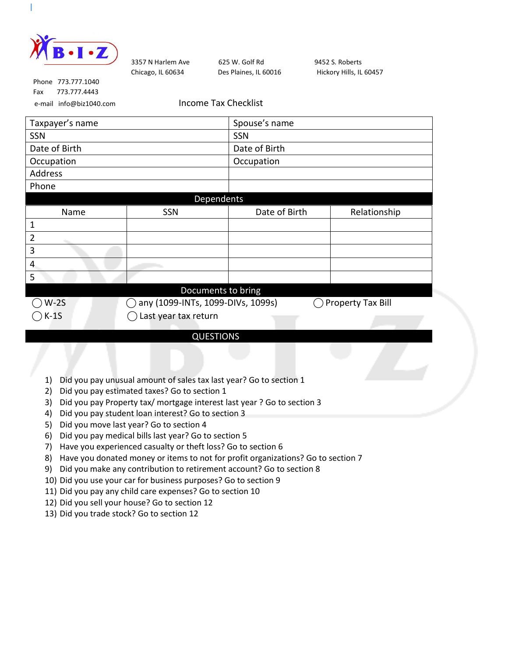

Chicago, IL 60634 Des Plaines, IL 60016 Hickory Hills, IL 60457

3357 N Harlem Ave 625 W. Golf Rd 9452 S. Roberts

 Phone 773.777.1040 Fax 773.777.4443

e-mail info@biz1040.com Income Tax Checklist

| Taxpayer's name |                                   | Spouse's name |                   |  |
|-----------------|-----------------------------------|---------------|-------------------|--|
| SSN             |                                   | SSN           |                   |  |
| Date of Birth   |                                   | Date of Birth |                   |  |
| Occupation      |                                   | Occupation    |                   |  |
| Address         |                                   |               |                   |  |
| Phone           |                                   |               |                   |  |
|                 | Dependents                        |               |                   |  |
| Name            | SSN                               | Date of Birth | Relationship      |  |
| 1               |                                   |               |                   |  |
| 2               |                                   |               |                   |  |
| 3               |                                   |               |                   |  |
| 4               |                                   |               |                   |  |
| 5               |                                   |               |                   |  |
|                 | Documents to bring                |               |                   |  |
| $W-2S$          | any (1099-INTs, 1099-DIVs, 1099s) |               | Property Tax Bill |  |
| $K-1S$          | Last year tax return              |               |                   |  |

## QUESTIONS

- 1) Did you pay unusual amount of sales tax last year? Go to section 1
- 2) Did you pay estimated taxes? Go to section 1
- 3) Did you pay Property tax/ mortgage interest last year ? Go to section 3
- 4) Did you pay student loan interest? Go to section 3
- 5) Did you move last year? Go to section 4
- 6) Did you pay medical bills last year? Go to section 5
- 7) Have you experienced casualty or theft loss? Go to section 6
- 8) Have you donated money or items to not for profit organizations? Go to section 7
- 9) Did you make any contribution to retirement account? Go to section 8
- 10) Did you use your car for business purposes? Go to section 9
- 11) Did you pay any child care expenses? Go to section 10
- 12) Did you sell your house? Go to section 12
- 13) Did you trade stock? Go to section 12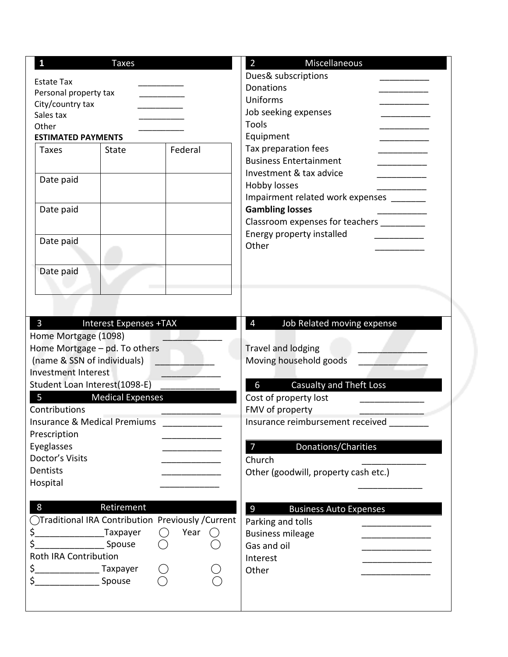| $\mathbf{1}$                               | <b>Taxes</b>                  |                                                     | $\overline{2}$<br>Miscellaneous                 |
|--------------------------------------------|-------------------------------|-----------------------------------------------------|-------------------------------------------------|
|                                            |                               |                                                     | Dues& subscriptions                             |
| <b>Estate Tax</b><br>Personal property tax |                               |                                                     | <b>Donations</b>                                |
| City/country tax                           |                               |                                                     | Uniforms                                        |
| Sales tax                                  |                               |                                                     | Job seeking expenses                            |
| Other                                      |                               |                                                     | Tools                                           |
| <b>ESTIMATED PAYMENTS</b>                  |                               |                                                     | Equipment                                       |
| <b>Taxes</b>                               | <b>State</b>                  | Federal                                             | Tax preparation fees                            |
|                                            |                               |                                                     | <b>Business Entertainment</b>                   |
|                                            |                               |                                                     | Investment & tax advice                         |
| Date paid                                  |                               |                                                     | Hobby losses                                    |
|                                            |                               |                                                     | Impairment related work expenses _______        |
| Date paid                                  |                               |                                                     | <b>Gambling losses</b>                          |
|                                            |                               |                                                     | Classroom expenses for teachers _________       |
|                                            |                               |                                                     | Energy property installed                       |
| Date paid                                  |                               |                                                     | Other                                           |
|                                            |                               |                                                     |                                                 |
| Date paid                                  |                               |                                                     |                                                 |
|                                            |                               |                                                     |                                                 |
|                                            |                               |                                                     |                                                 |
|                                            |                               |                                                     |                                                 |
|                                            |                               |                                                     |                                                 |
| $\mathbf{3}$                               | <b>Interest Expenses +TAX</b> |                                                     | $\overline{4}$<br>Job Related moving expense    |
| Home Mortgage (1098)                       |                               |                                                     |                                                 |
| Home Mortgage - pd. To others              |                               |                                                     | <b>Travel and lodging</b>                       |
| (name & SSN of individuals)                |                               |                                                     | Moving household goods                          |
| <b>Investment Interest</b>                 |                               |                                                     |                                                 |
| Student Loan Interest(1098-E)              |                               |                                                     | Casualty and Theft Loss<br>6                    |
| 5                                          | <b>Medical Expenses</b>       |                                                     | Cost of property lost                           |
| Contributions                              |                               |                                                     | FMV of property                                 |
| <b>Insurance &amp; Medical Premiums</b>    |                               |                                                     | Insurance reimbursement received                |
| Prescription                               |                               |                                                     |                                                 |
| Eyeglasses                                 |                               |                                                     | Donations/Charities<br>7                        |
| Doctor's Visits                            |                               |                                                     | Church                                          |
| Dentists                                   |                               |                                                     | Other (goodwill, property cash etc.)            |
| Hospital                                   |                               |                                                     |                                                 |
|                                            |                               |                                                     |                                                 |
| 8                                          | Retirement                    |                                                     | $\overline{9}$<br><b>Business Auto Expenses</b> |
|                                            |                               | ◯Traditional IRA Contribution Previously / Current  | Parking and tolls                               |
| \$.                                        | Taxpayer                      | Year<br>$\left(\begin{array}{c} \end{array}\right)$ | <b>Business mileage</b>                         |
| \$                                         | Spouse                        |                                                     | Gas and oil                                     |
| Roth IRA Contribution                      |                               |                                                     | Interest                                        |
| \$_                                        | Taxpayer                      |                                                     | Other                                           |
| \$                                         | Spouse                        |                                                     |                                                 |
|                                            |                               |                                                     |                                                 |
|                                            |                               |                                                     |                                                 |
|                                            |                               |                                                     |                                                 |